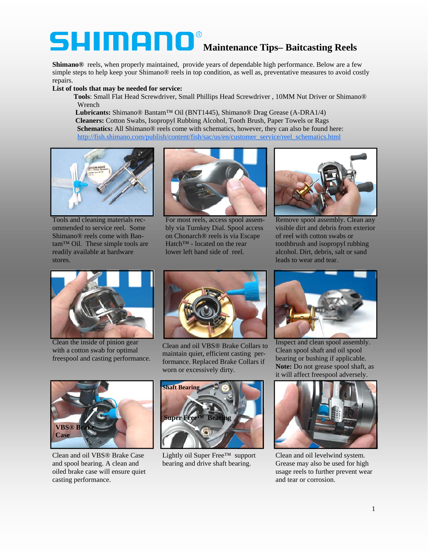## **Maintenance Tips– Baitcasting Reels**

**Shimano®** reels, when properly maintained, provide years of dependable high performance. Below are a few simple steps to help keep your Shimano® reels in top condition, as well as, preventative measures to avoid costly repairs.

## **List of tools that may be needed for service:**

 **Tools**: Small Flat Head Screwdriver, Small Phillips Head Screwdriver , 10MM Nut Driver or Shimano® Wrench

 **Lubricants:** Shimano® Bantam™ Oil (BNT1445), Shimano® Drag Grease (A-DRA1/4)  **Cleaners:** Cotton Swabs, Isopropyl Rubbing Alcohol, Tooth Brush, Paper Towels or Rags **Schematics:** All Shimano® reels come with schematics, however, they can also be found here: [http://fish.shimano.com/publish/content/fish/sac/us/en/customer\\_service/reel\\_schematics.html](http://fish.shimano.com/publish/content/fish/sac/us/en/customer_service/reel_schematics.html)



Tools and cleaning materials recommended to service reel. Some Shimano® reels come with Bantam™ Oil. These simple tools are readily available at hardware stores.



For most reels, access spool assembly via Turnkey Dial. Spool access on Chonarch® reels is via Escape Hatch™ - located on the rear lower left hand side of reel.



Remove spool assembly. Clean any visible dirt and debris from exterior of reel with cotton swabs or toothbrush and isopropyl rubbing alcohol. Dirt, debris, salt or sand leads to wear and tear.



Clean the inside of pinion gear with a cotton swab for optimal freespool and casting performance.



Clean and oil VBS® Brake Collars to maintain quiet, efficient casting performance. Replaced Brake Collars if worn or excessively dirty.



Clean and oil VBS® Brake Case and spool bearing. A clean and oiled brake case will ensure quiet casting performance.



Lightly oil Super Free™ support bearing and drive shaft bearing.



Inspect and clean spool assembly. Clean spool shaft and oil spool bearing or bushing if applicable. **Note:** Do not grease spool shaft, as it will affect freespool adversely.



Clean and oil levelwind system. Grease may also be used for high usage reels to further prevent wear and tear or corrosion.